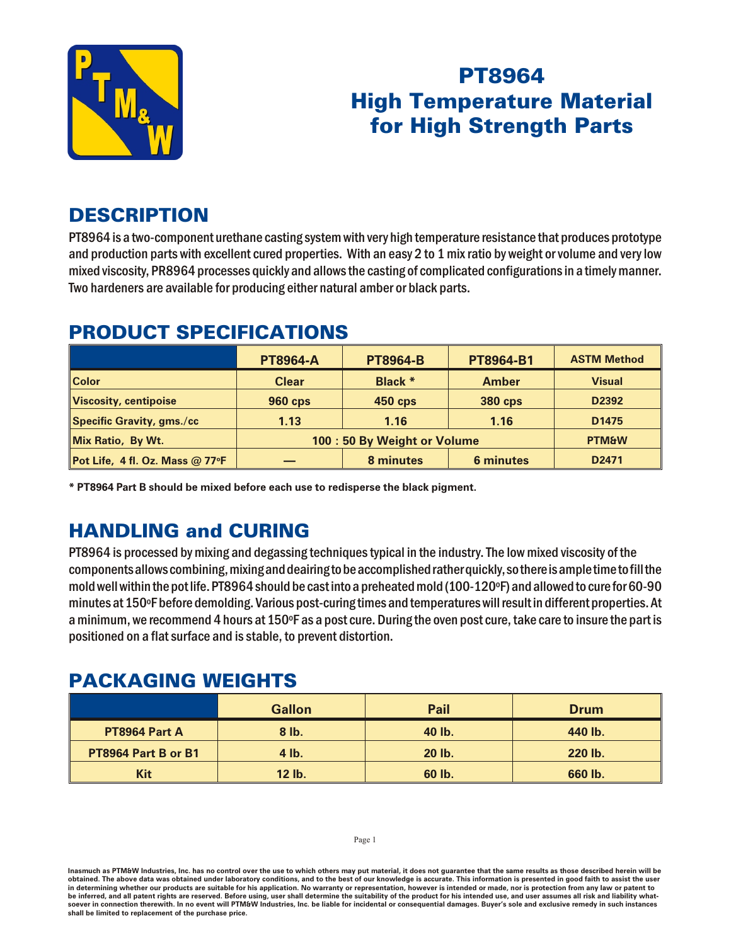

# **PT8964 High Temperature Material for High Strength Parts**

## **DESCRIPTION**

PT8964 is a two-component urethane casting system with very high temperature resistance that produces prototype and production parts with excellent cured properties. With an easy 2 to 1 mix ratio by weight or volume and very low mixed viscosity, PR8964 processes quickly and allows the casting of complicated configurations in a timely manner. Two hardeners are available for producing either natural amber or black parts.

#### **PRODUCT SPECIFICATIONS**

|                                 | <b>PT8964-A</b>              | <b>PT8964-B</b> | PT8964-B1        | <b>ASTM Method</b> |
|---------------------------------|------------------------------|-----------------|------------------|--------------------|
| <b>Color</b>                    | <b>Clear</b>                 | Black *         | <b>Amber</b>     | <b>Visual</b>      |
| Viscosity, centipoise           | <b>960 cps</b>               | <b>450 cps</b>  | <b>380 cps</b>   | D2392              |
| Specific Gravity, gms./cc       | 1.13                         | 1.16            | 1.16             | D <sub>1475</sub>  |
| Mix Ratio, By Wt.               | 100 : 50 By Weight or Volume |                 |                  | <b>PTM&amp;W</b>   |
| Pot Life, 4 fl. Oz. Mass @ 77°F |                              | 8 minutes       | <b>6 minutes</b> | D <sub>2471</sub>  |

\* PT8964 Part B should be mixed before each use to redisperse the black pigment.

# **HANDLING and CURING**

PT8964 is processed by mixing and degassing techniques typical in the industry. The low mixed viscosity of the components allows combining, mixing and deairing to be accomplished rather quickly, so there is ample time to fill the mold well within the pot life. PT8964 should be cast into a preheated mold (100-120°F) and allowed to cure for 60-90 minutes at 150°F before demolding. Various post-curing times and temperatures will result in different properties. At a minimum, we recommend 4 hours at 150°F as a post cure. During the oven post cure, take care to insure the part is positioned on a flat surface and is stable, to prevent distortion.

### **PACKAGING WEIGHTS**

|                     | <b>Gallon</b> | <b>Pail</b> | <b>Drum</b> |
|---------------------|---------------|-------------|-------------|
| PT8964 Part A       | $8$ lb.       | 40 lb.      | 440 lb.     |
| PT8964 Part B or B1 | 4 lb.         | 20 lb.      | 220 lb.     |
| Kit                 | 12 lb.        | 60 lb.      | 660 lb.     |

Page 1

Inasmuch as PTM&W Industries, Inc. has no control over the use to which others may put material, it does not guarantee that the same results as those described herein will be obtained. The above data was obtained under laboratory conditions, and to the best of our knowledge is accurate. This information is presented in good faith to assist the user in determining whether our products are suitable for his application. No warranty or representation, however is intended or made, nor is protection from any law or patent to be inferred, and all patent rights are reserved. Before using, user shall determine the suitability of the product for his intended use, and user assumes all risk and liability whatsoever in connection therewith. In no event will PTM&W Industries, Inc. be liable for incidental or consequential damages. Buyer's sole and exclusive remedy in such instances shall be limited to replacement of the purchase price.